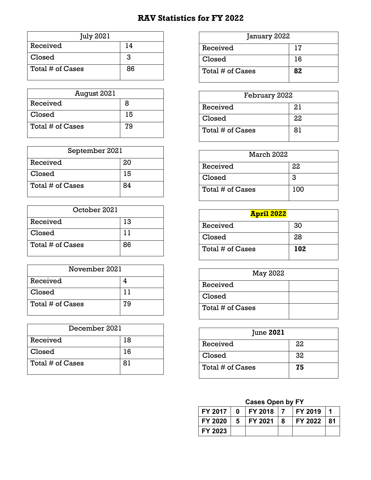## **RAV Statistics for FY 2022**

| <b>July 2021</b> |    |
|------------------|----|
| Received         | 14 |
| Closed           | 3  |
| Total # of Cases | 86 |

| August 2021      |    |
|------------------|----|
| Received         | x  |
| Closed           | 15 |
| Total # of Cases | 79 |

| September 2021   |    |
|------------------|----|
| Received         | 20 |
| Closed           | 15 |
| Total # of Cases | 84 |

| October 2021     |    |
|------------------|----|
| Received         | 13 |
| Closed           | 11 |
| Total # of Cases | 86 |

| November 2021    |    |
|------------------|----|
| Received         |    |
| Closed           | 11 |
| Total # of Cases | 79 |

| December 2021    |    |
|------------------|----|
| Received         | 18 |
| Closed           | 16 |
| Total # of Cases | 81 |

| January 2022     |    |
|------------------|----|
| Received         | 17 |
| Closed           | 16 |
| Total # of Cases | 82 |

| February 2022    |    |
|------------------|----|
| Received         | 21 |
| Closed           | 22 |
| Total # of Cases | 81 |

| March 2022       |     |
|------------------|-----|
| Received         | 22  |
| Closed           | 3   |
| Total # of Cases | 100 |

| <b>April 2022</b> |     |
|-------------------|-----|
| Received          | 30  |
| Closed            | 28  |
| Total # of Cases  | 102 |

| May 2022         |  |
|------------------|--|
| Received         |  |
| Closed           |  |
| Total # of Cases |  |

| <b>June 2021</b> |    |
|------------------|----|
| Received         | 22 |
| Closed           | 32 |
| Total # of Cases | 75 |

### **Cases Open by FY**

|         | $FY$ 2017   0   FY 2018   7 | <b>FY 2019</b> | $\blacksquare$ |
|---------|-----------------------------|----------------|----------------|
|         | $FY$ 2020   5   FY 2021   8 | FY 2022   81   |                |
| FY 2023 |                             |                |                |